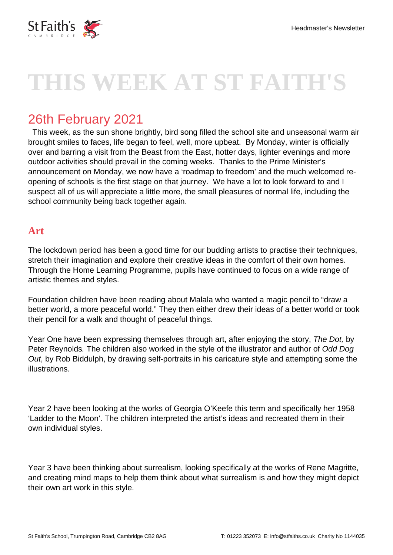

# **THIS WEEK AT ST FAITH'S**

## 26th February 2021

 This week, as the sun shone brightly, bird song filled the school site and unseasonal warm air brought smiles to faces, life began to feel, well, more upbeat. By Monday, winter is officially over and barring a visit from the Beast from the East, hotter days, lighter evenings and more outdoor activities should prevail in the coming weeks. Thanks to the Prime Minister's announcement on Monday, we now have a 'roadmap to freedom' and the much welcomed reopening of schools is the first stage on that journey. We have a lot to look forward to and I suspect all of us will appreciate a little more, the small pleasures of normal life, including the school community being back together again.

#### **Art**

The lockdown period has been a good time for our budding artists to practise their techniques, stretch their imagination and explore their creative ideas in the comfort of their own homes. Through the Home Learning Programme, pupils have continued to focus on a wide range of artistic themes and styles.

Foundation children have been reading about Malala who wanted a magic pencil to "draw a better world, a more peaceful world." They then either drew their ideas of a better world or took their pencil for a walk and thought of peaceful things.

Year One have been expressing themselves through art, after enjoying the story, The Dot, by Peter Reynolds. The children also worked in the style of the illustrator and author of Odd Dog Out, by Rob Biddulph, by drawing self-portraits in his caricature style and attempting some the illustrations.

Year 2 have been looking at the works of Georgia O'Keefe this term and specifically her 1958 'Ladder to the Moon'. The children interpreted the artist's ideas and recreated them in their own individual styles.

Year 3 have been thinking about surrealism, looking specifically at the works of Rene Magritte, and creating mind maps to help them think about what surrealism is and how they might depict their own art work in this style.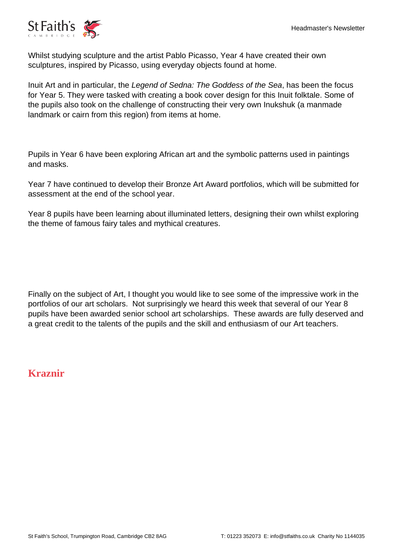

Whilst studying sculpture and the artist Pablo Picasso, Year 4 have created their own sculptures, inspired by Picasso, using everyday objects found at home.

Inuit Art and in particular, the Legend of Sedna: The Goddess of the Sea, has been the focus for Year 5. They were tasked with creating a book cover design for this Inuit folktale. Some of the pupils also took on the challenge of constructing their very own Inukshuk (a manmade landmark or cairn from this region) from items at home.

Pupils in Year 6 have been exploring African art and the symbolic patterns used in paintings and masks.

Year 7 have continued to develop their Bronze Art Award portfolios, which will be submitted for assessment at the end of the school year.

Year 8 pupils have been learning about illuminated letters, designing their own whilst exploring the theme of famous fairy tales and mythical creatures.

Finally on the subject of Art, I thought you would like to see some of the impressive work in the portfolios of our art scholars. Not surprisingly we heard this week that several of our Year 8 pupils have been awarded senior school art scholarships. These awards are fully deserved and a great credit to the talents of the pupils and the skill and enthusiasm of our Art teachers.

#### **Kraznir**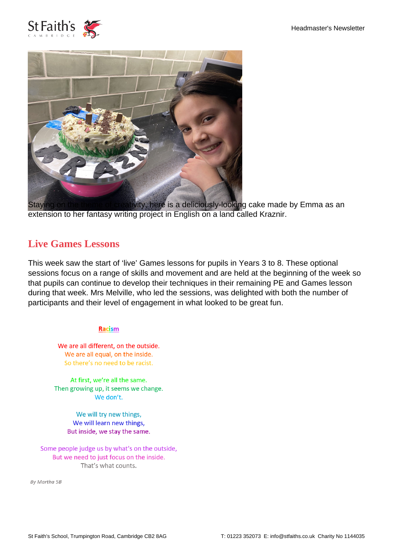



Staying on the theme of creativity, here is a deliciously-looking cake made by Emma as an extension to her fantasy writing project in English on a land called Kraznir.

## **Live Games Lessons**

This week saw the start of 'live' Games lessons for pupils in Years 3 to 8. These optional sessions focus on a range of skills and movement and are held at the beginning of the week so that pupils can continue to develop their techniques in their remaining PE and Games lesson during that week. Mrs Melville, who led the sessions, was delighted with both the number of participants and their level of engagement in what looked to be great fun.

#### **Racism**

We are all different, on the outside. We are all equal, on the inside. So there's no need to be racist.

At first, we're all the same. Then growing up, it seems we change. We don't.

> We will try new things, We will learn new things, But inside, we stay the same.

Some people judge us by what's on the outside, But we need to just focus on the inside. That's what counts.

By Martha 5B